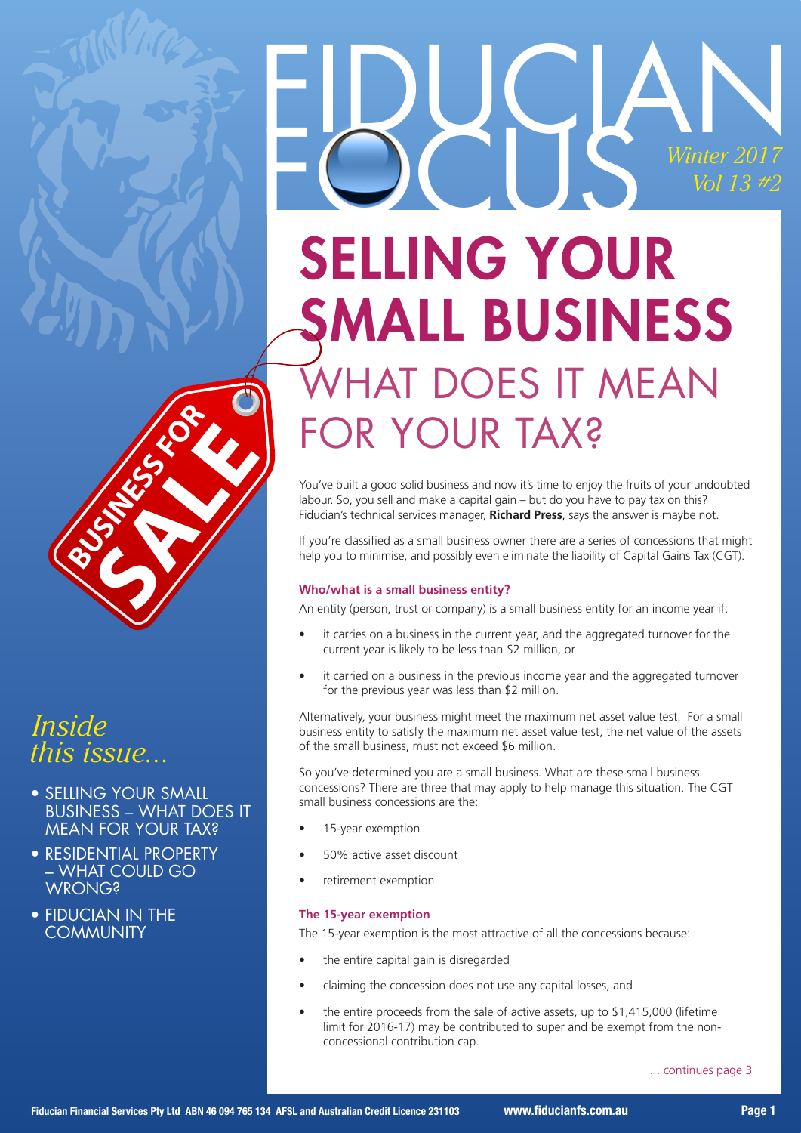

# SELLING YOUR SMALL BUSINESS **HAT DOES IT MEAN** FOR YOUR TAX?

You've built a good solid business and now it's time to enjoy the fruits of your undoubted labour. So, you sell and make a capital gain – but do you have to pay tax on this? Fiducian's technical services manager, **Richard Press**, says the answer is maybe not.

If you're classified as a small business owner there are a series of concessions that might help you to minimise, and possibly even eliminate the liability of Capital Gains Tax (CGT).

#### **Who/what is a small business entity?**

An entity (person, trust or company) is a small business entity for an income year if:

- it carries on a business in the current year, and the aggregated turnover for the current year is likely to be less than \$2 million, or
- it carried on a business in the previous income year and the aggregated turnover for the previous year was less than \$2 million.

Alternatively, your business might meet the maximum net asset value test. For a small business entity to satisfy the maximum net asset value test, the net value of the assets of the small business, must not exceed \$6 million.

So you've determined you are a small business. What are these small business concessions? There are three that may apply to help manage this situation. The CGT small business concessions are the:

- 15-year exemption
- 50% active asset discount
- retirement exemption

#### **The 15-year exemption**

The 15-year exemption is the most attractive of all the concessions because:

- the entire capital gain is disregarded
- claiming the concession does not use any capital losses, and
- the entire proceeds from the sale of active assets, up to \$1,415,000 (lifetime limit for 2016-17) may be contributed to super and be exempt from the nonconcessional contribution cap.

... continues page 3



# *Inside this issue...*

- SELLING YOUR SMALL BUSINESS – WHAT DOES IT MEAN FOR YOUR TAX?
- RESIDENTIAL PROPERTY – WHAT COULD GO **WRONG?**
- FIDUCIAN IN THE **COMMUNITY**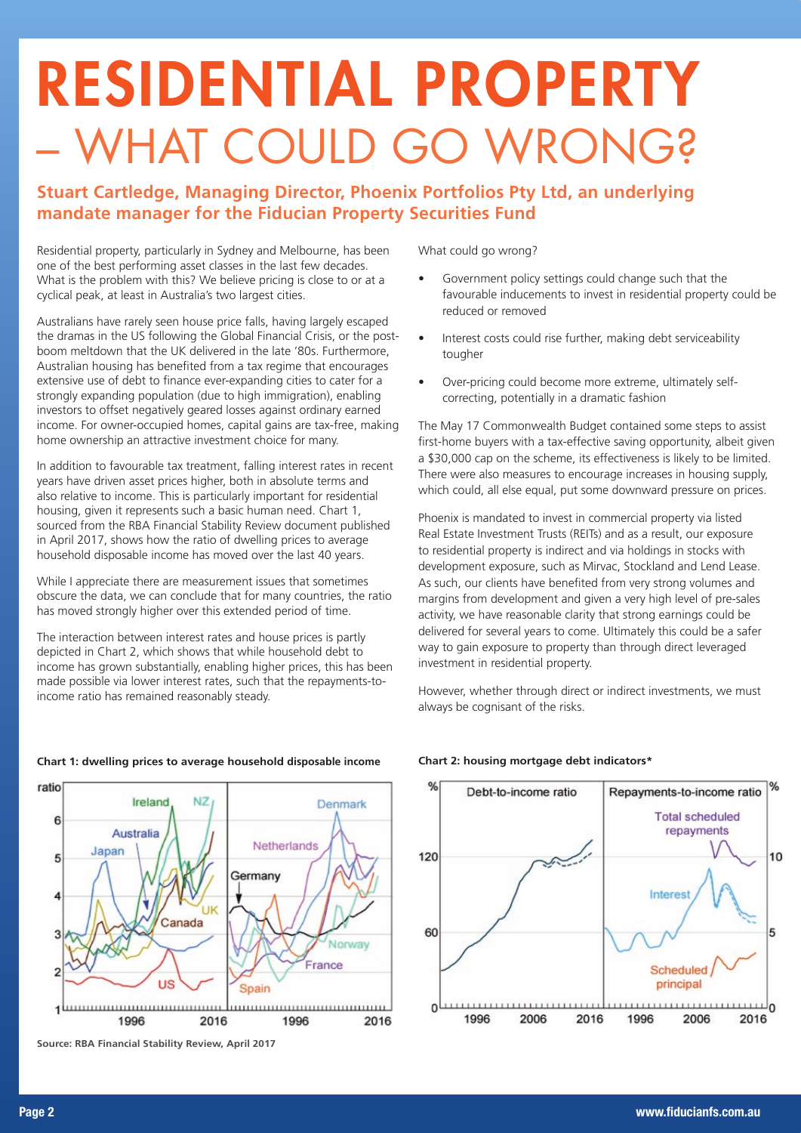# RESIDENTIAL PROPERTY – WHAT COULD GO WRONG?

### **Stuart Cartledge, Managing Director, Phoenix Portfolios Pty Ltd, an underlying mandate manager for the Fiducian Property Securities Fund**

Residential property, particularly in Sydney and Melbourne, has been one of the best performing asset classes in the last few decades. What is the problem with this? We believe pricing is close to or at a cyclical peak, at least in Australia's two largest cities.

Australians have rarely seen house price falls, having largely escaped the dramas in the US following the Global Financial Crisis, or the postboom meltdown that the UK delivered in the late '80s. Furthermore, Australian housing has benefited from a tax regime that encourages extensive use of debt to finance ever-expanding cities to cater for a strongly expanding population (due to high immigration), enabling investors to offset negatively geared losses against ordinary earned income. For owner-occupied homes, capital gains are tax-free, making home ownership an attractive investment choice for many.

In addition to favourable tax treatment, falling interest rates in recent years have driven asset prices higher, both in absolute terms and also relative to income. This is particularly important for residential housing, given it represents such a basic human need. Chart 1, sourced from the RBA Financial Stability Review document published in April 2017, shows how the ratio of dwelling prices to average household disposable income has moved over the last 40 years.

While I appreciate there are measurement issues that sometimes obscure the data, we can conclude that for many countries, the ratio has moved strongly higher over this extended period of time.

The interaction between interest rates and house prices is partly depicted in Chart 2, which shows that while household debt to income has grown substantially, enabling higher prices, this has been made possible via lower interest rates, such that the repayments-toincome ratio has remained reasonably steady.

What could go wrong?

- Government policy settings could change such that the favourable inducements to invest in residential property could be reduced or removed
- Interest costs could rise further, making debt serviceability tougher
- Over-pricing could become more extreme, ultimately selfcorrecting, potentially in a dramatic fashion

The May 17 Commonwealth Budget contained some steps to assist first-home buyers with a tax-effective saving opportunity, albeit given a \$30,000 cap on the scheme, its effectiveness is likely to be limited. There were also measures to encourage increases in housing supply, which could, all else equal, put some downward pressure on prices.

Phoenix is mandated to invest in commercial property via listed Real Estate Investment Trusts (REITs) and as a result, our exposure to residential property is indirect and via holdings in stocks with development exposure, such as Mirvac, Stockland and Lend Lease. As such, our clients have benefited from very strong volumes and margins from development and given a very high level of pre-sales activity, we have reasonable clarity that strong earnings could be delivered for several years to come. Ultimately this could be a safer way to gain exposure to property than through direct leveraged investment in residential property.

However, whether through direct or indirect investments, we must always be cognisant of the risks.



#### **Chart 1: dwelling prices to average household disposable income**

#### **Source: RBA Financial Stability Review, April 2017**



#### **Chart 2: housing mortgage debt indicators\***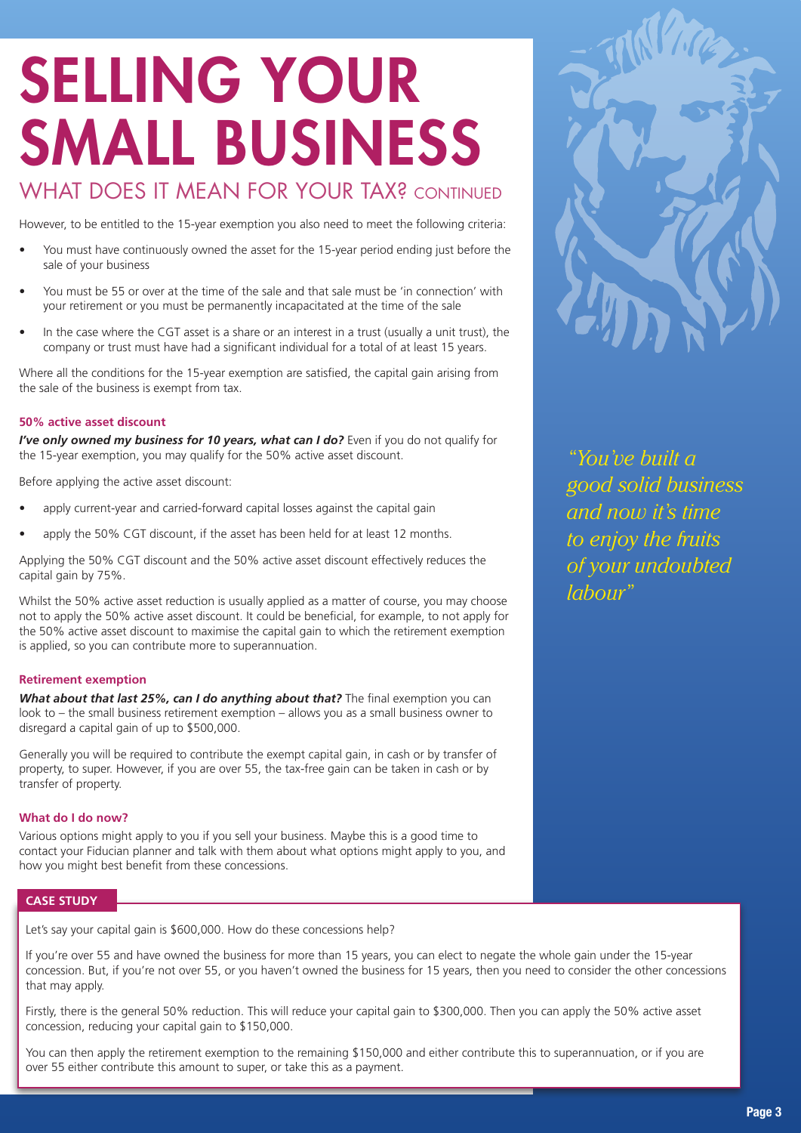# SELLING YOUR SMALL BUSINESS

### WHAT DOES IT MEAN FOR YOUR TAX? CONTINUED

However, to be entitled to the 15-year exemption you also need to meet the following criteria:

- You must have continuously owned the asset for the 15-year period ending just before the sale of your business
- You must be 55 or over at the time of the sale and that sale must be 'in connection' with your retirement or you must be permanently incapacitated at the time of the sale
- In the case where the CGT asset is a share or an interest in a trust (usually a unit trust), the company or trust must have had a significant individual for a total of at least 15 years.

Where all the conditions for the 15-year exemption are satisfied, the capital gain arising from the sale of the business is exempt from tax.

#### **50% active asset discount**

*I've only owned my business for 10 years, what can I do?* Even if you do not qualify for the 15-year exemption, you may qualify for the 50% active asset discount.

Before applying the active asset discount:

- apply current-year and carried-forward capital losses against the capital gain
- apply the 50% CGT discount, if the asset has been held for at least 12 months.

Applying the 50% CGT discount and the 50% active asset discount effectively reduces the capital gain by 75%.

Whilst the 50% active asset reduction is usually applied as a matter of course, you may choose not to apply the 50% active asset discount. It could be beneficial, for example, to not apply for the 50% active asset discount to maximise the capital gain to which the retirement exemption is applied, so you can contribute more to superannuation.

#### **Retirement exemption**

*What about that last 25%, can I do anything about that?* The final exemption you can look to – the small business retirement exemption – allows you as a small business owner to disregard a capital gain of up to \$500,000.

Generally you will be required to contribute the exempt capital gain, in cash or by transfer of property, to super. However, if you are over 55, the tax-free gain can be taken in cash or by transfer of property.

#### **What do I do now?**

Various options might apply to you if you sell your business. Maybe this is a good time to contact your Fiducian planner and talk with them about what options might apply to you, and how you might best benefit from these concessions.

#### **CASE STUDY**

Let's say your capital gain is \$600,000. How do these concessions help?

If you're over 55 and have owned the business for more than 15 years, you can elect to negate the whole gain under the 15-year concession. But, if you're not over 55, or you haven't owned the business for 15 years, then you need to consider the other concessions that may apply.

Firstly, there is the general 50% reduction. This will reduce your capital gain to \$300,000. Then you can apply the 50% active asset concession, reducing your capital gain to \$150,000.

You can then apply the retirement exemption to the remaining \$150,000 and either contribute this to superannuation, or if you are over 55 either contribute this amount to super, or take this as a payment.



*"You've built a good solid business and now it's time to enjoy the fruits of your undoubted labour"*